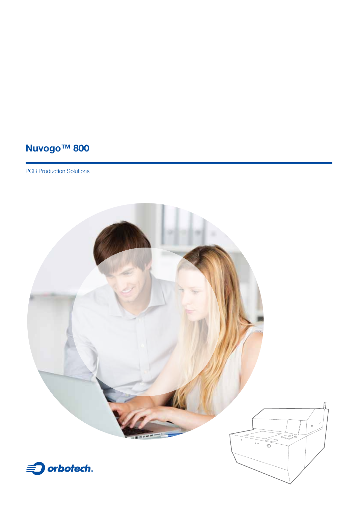# **Nuvogo™ 800**

PCB Production Solutions

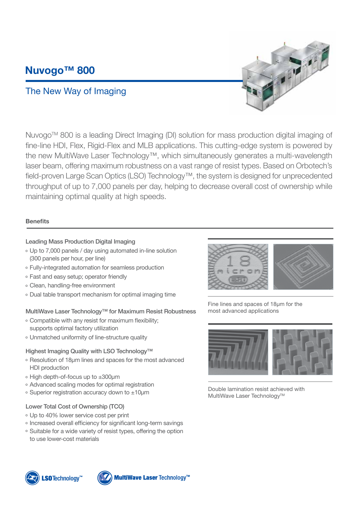## **Nuvogo™ 800**

### The New Way of Imaging



Nuvogo™ 800 is a leading Direct Imaging (DI) solution for mass production digital imaging of fine-line HDI, Flex, Rigid-Flex and MLB applications. This cutting-edge system is powered by the new Multi Wave Laser Technology<sup>™</sup>, which simultaneously generates a multi-wave length laser beam, offering maximum robustness on a vast range of resist types. Based on Orbotech's field-proven Large Scan Optics (LSO) Technology<sup>™</sup>, the system is designed for unprecedented throughput of up to 7,000 panels per day, helping to decrease overall cost of ownership while maintaining optimal quality at high speeds.

### **Benefits**

#### Leading Mass Production Digital Imaging

- o Up to 7,000 panels / day using automated in-line solution (300 panels per hour, per line)
- o Fully-integrated automation for seamless production
- <sup>o</sup> Fast and easy setup: operator friendly
- Clean, handling-free environment
- . Dual table transport mechanism for optimal imaging time

#### MultiWave Laser Technology<sup>™</sup> for Maximum Resist Robustness

- $\circ$  Compatible with any resist for maximum flexibility; supports optimal factory utilization
- o Unmatched uniformity of line-structure quality

#### Highest Imaging Quality with LSO Technology<sup>™</sup>

- <sup>o</sup> Resolution of 18 μm lines and spaces for the most advanced HDI production
- $\circ$  High depth-of-focus up to  $\pm 300$ μm
- <sup>o</sup> Advanced scaling modes for optimal registration
- $\circ$  Superior registration accuracy down to  $\pm 10$ um

#### Lower Total Cost of Ownership (TCO)

- Up to 40% lower service cost per print
- <sup>o</sup> Increased overall efficiency for significant long-term savings
- <sup>o</sup> Suitable for a wide variety of resist types, offering the option to use lower-cost materials



Fine lines and spaces of 18 µm for the most advanced applications



Double lamination resist achieved with MultiWave Laser Technology™